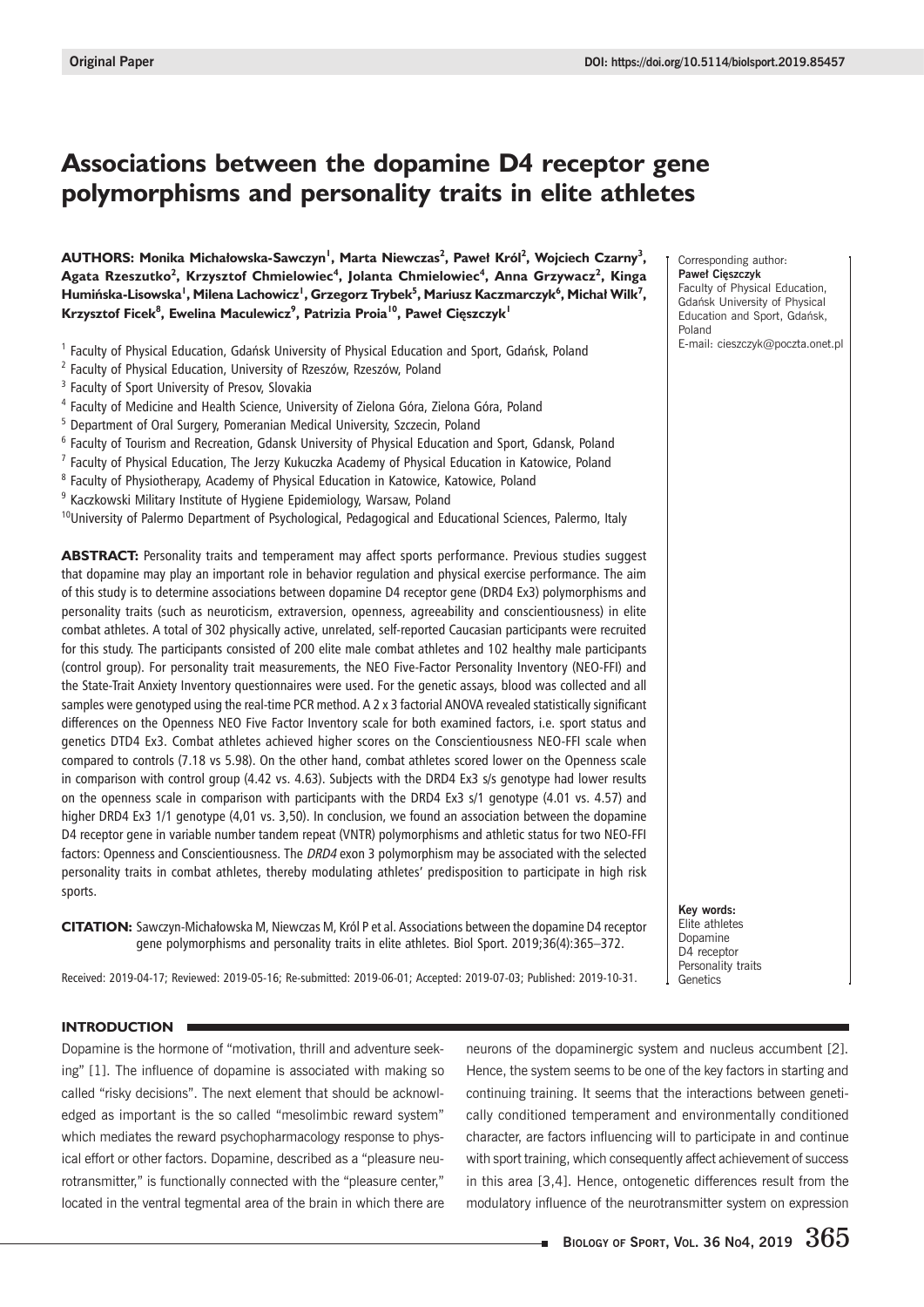# **Associations between the dopamine D4 receptor gene polymorphisms and personality traits in elite athletes**

 $\blacksquare$ **AUTHORS: Monika Michałowska-Sawczyn<sup>1</sup>, Marta Niewczas<sup>2</sup>, Paweł Król<sup>2</sup>, Wojciech Czarny<sup>3</sup>,**  $\mathbf{A}$ gata Rzeszutko<sup>2</sup>, Krzysztof Chmielowiec<sup>4</sup>, Jolanta Chmielowiec<sup>4</sup>, Anna Grzywacz<sup>2</sup>, Kinga  $\boldsymbol{\mathsf{H}}$ umińska-Lisowska<sup>1</sup>, Milena Lachowicz<sup>1</sup>, Grzegorz Trybek<sup>5</sup>, Mariusz Kaczmarczyk<sup>6</sup>, Michał Wilk<sup>7</sup>,  $K$ rzysztof Ficek $^8$ , Ewelina Maculewicz $^9$ , Patrizia Proia<sup>10</sup>, Paweł Cięszczyk<sup>1</sup>

- <sup>1</sup> Faculty of Physical Education, Gdańsk University of Physical Education and Sport, Gdańsk, Poland
- <sup>2</sup> Faculty of Physical Education, University of Rzeszów, Rzeszów, Poland
- <sup>3</sup> Faculty of Sport University of Presov, Slovakia
- <sup>4</sup> Faculty of Medicine and Health Science, University of Zielona Góra, Zielona Góra, Poland
- <sup>5</sup> Department of Oral Surgery, Pomeranian Medical University, Szczecin, Poland
- $6$  Faculty of Tourism and Recreation, Gdansk University of Physical Education and Sport, Gdansk, Poland
- $^7$  Faculty of Physical Education, The Jerzy Kukuczka Academy of Physical Education in Katowice, Poland
- <sup>8</sup> Faculty of Physiotherapy, Academy of Physical Education in Katowice, Katowice, Poland
- <sup>9</sup> Kaczkowski Military Institute of Hygiene Epidemiology, Warsaw, Poland

 $10$ University of Palermo Department of Psychological, Pedagogical and Educational Sciences, Palermo, Italy

**ABSTRACT:** Personality traits and temperament may affect sports performance. Previous studies suggest that dopamine may play an important role in behavior regulation and physical exercise performance. The aim of this study is to determine associations between dopamine D4 receptor gene (DRD4 Ex3) polymorphisms and personality traits (such as neuroticism, extraversion, openness, agreeability and conscientiousness) in elite combat athletes. A total of 302 physically active, unrelated, self-reported Caucasian participants were recruited for this study. The participants consisted of 200 elite male combat athletes and 102 healthy male participants (control group). For personality trait measurements, the NEO Five-Factor Personality Inventory (NEO-FFI) and the State-Trait Anxiety Inventory questionnaires were used. For the genetic assays, blood was collected and all samples were genotyped using the real-time PCR method. A 2 x 3 factorial ANOVA revealed statistically significant differences on the Openness NEO Five Factor Inventory scale for both examined factors, i.e. sport status and genetics DTD4 Ex3. Combat athletes achieved higher scores on the Conscientiousness NEO-FFI scale when compared to controls (7.18 vs 5.98). On the other hand, combat athletes scored lower on the Openness scale in comparison with control group (4.42 vs. 4.63). Subjects with the DRD4 Ex3 s/s genotype had lower results on the openness scale in comparison with participants with the DRD4 Ex3 s/1 genotype (4.01 vs. 4.57) and higher DRD4 Ex3 1/1 genotype (4,01 vs. 3,50). In conclusion, we found an association between the dopamine D4 receptor gene in variable number tandem repeat (VNTR) polymorphisms and athletic status for two NEO-FFI factors: Openness and Conscientiousness. The DRD4 exon 3 polymorphism may be associated with the selected personality traits in combat athletes, thereby modulating athletes' predisposition to participate in high risk sports.

CITATION: Sawczyn-Michałowska M, Niewczas M, Król P et al. Associations between the dopamine D4 receptor gene polymorphisms and personality traits in elite athletes. Biol Sport. 2019;36(4):365-372.

Received: 2019-04-17; Reviewed: 2019-05-16; Re-submitted: 2019-06-01; Accepted: 2019-07-03; Published: 2019-10-31.

Corresponding author: **Paweł Cięszczyk** Faculty of Physical Education, Gdańsk University of Physical Education and Sport, Gdańsk, Poland E-mail: cieszczyk@poczta.onet.pl

**Key words:** Elite athletes Dopamine D4 receptor Personality traits Genetics

## **INTRODUCTION**

Dopamine is the hormone of "motivation, thrill and adventure seeking" [1]. The influence of dopamine is associated with making so called "risky decisions". The next element that should be acknowledged as important is the so called "mesolimbic reward system" which mediates the reward psychopharmacology response to physical effort or other factors. Dopamine, described as a "pleasure neurotransmitter," is functionally connected with the "pleasure center," located in the ventral tegmental area of the brain in which there are neurons of the dopaminergic system and nucleus accumbent [2]. Hence, the system seems to be one of the key factors in starting and continuing training. It seems that the interactions between genetically conditioned temperament and environmentally conditioned character, are factors influencing will to participate in and continue with sport training, which consequently affect achievement of success in this area [3,4]. Hence, ontogenetic differences result from the modulatory influence of the neurotransmitter system on expression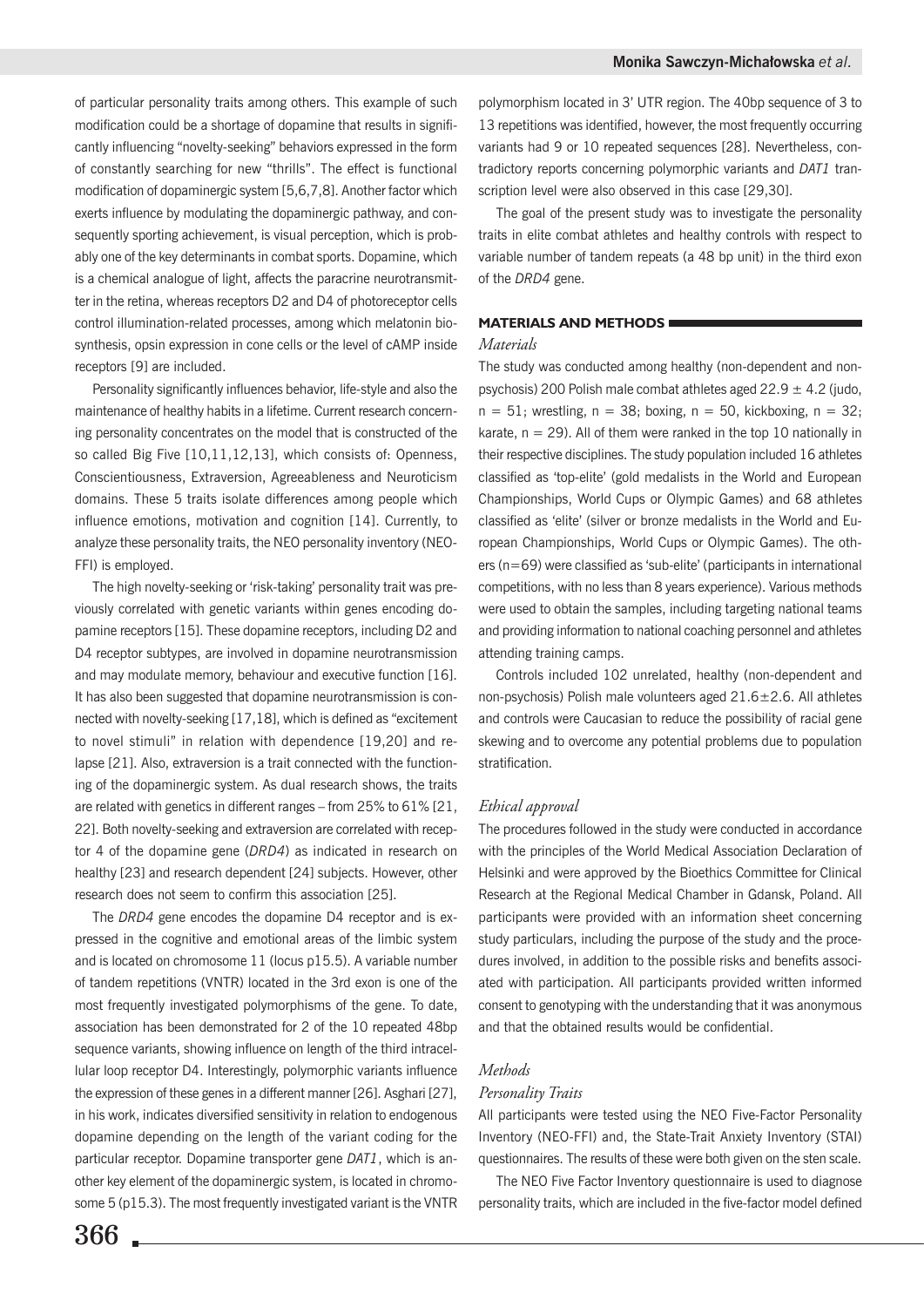of particular personality traits among others. This example of such modification could be a shortage of dopamine that results in significantly influencing "novelty-seeking" behaviors expressed in the form of constantly searching for new "thrills". The effect is functional modification of dopaminergic system [5,6,7,8]. Another factor which exerts influence by modulating the dopaminergic pathway, and consequently sporting achievement, is visual perception, which is probably one of the key determinants in combat sports. Dopamine, which is a chemical analogue of light, affects the paracrine neurotransmitter in the retina, whereas receptors D2 and D4 of photoreceptor cells control illumination-related processes, among which melatonin biosynthesis, opsin expression in cone cells or the level of cAMP inside receptors [9] are included.

Personality significantly influences behavior. life-style and also the maintenance of healthy habits in a lifetime. Current research concerning personality concentrates on the model that is constructed of the so called Big Five [10,11,12,13], which consists of: Openness, Conscientiousness, Extraversion, Agreeableness and Neuroticism domains. These 5 traits isolate differences among people which influence emotions, motivation and cognition [14]. Currently, to analyze these personality traits, the NEO personality inventory (NEO-FFI) is employed.

The high novelty-seeking or 'risk-taking' personality trait was previously correlated with genetic variants within genes encoding dopamine receptors [15]. These dopamine receptors, including D2 and D4 receptor subtypes, are involved in dopamine neurotransmission and may modulate memory, behaviour and executive function [16]. It has also been suggested that dopamine neurotransmission is connected with novelty-seeking [17,18], which is defined as "excitement to novel stimuli" in relation with dependence [19,20] and relapse [21]. Also, extraversion is a trait connected with the functioning of the dopaminergic system. As dual research shows, the traits are related with genetics in different ranges - from 25% to 61% [21, 22]. Both novelty-seeking and extraversion are correlated with receptor 4 of the dopamine gene (DRD4) as indicated in research on healthy [23] and research dependent [24] subjects. However, other research does not seem to confirm this association [25].

The DRD4 gene encodes the dopamine D4 receptor and is expressed in the cognitive and emotional areas of the limbic system and is located on chromosome 11 (locus p15.5). A variable number of tandem repetitions (VNTR) located in the 3rd exon is one of the most frequently investigated polymorphisms of the gene. To date, association has been demonstrated for 2 of the 10 repeated 48bp sequence variants, showing influence on length of the third intracellular loop receptor D4. Interestingly, polymorphic variants influence the expression of these genes in a different manner [26]. Asghari [27], in his work, indicates diversified sensitivity in relation to endogenous dopamine depending on the length of the variant coding for the particular receptor. Dopamine transporter gene DAT1, which is another key element of the dopaminergic system, is located in chromosome 5 (p15.3). The most frequently investigated variant is the VNTR polymorphism located in 3' UTR region. The 40bp sequence of 3 to 13 repetitions was identified, however, the most frequently occurring variants had 9 or 10 repeated sequences [28]. Nevertheless, contradictory reports concerning polymorphic variants and DAT1 transcription level were also observed in this case [29,30].

The goal of the present study was to investigate the personality traits in elite combat athletes and healthy controls with respect to variable number of tandem repeats (a 48 bp unit) in the third exon of the DRD4 gene.

# **MATERIALS AND METHODS**

## **Materials**

The study was conducted among healthy (non-dependent and nonpsychosis) 200 Polish male combat athletes aged  $22.9 \pm 4.2$  (judo,  $n = 51$ ; wrestling,  $n = 38$ ; boxing,  $n = 50$ , kickboxing,  $n = 32$ ; karate,  $n = 29$ ). All of them were ranked in the top 10 nationally in their respective disciplines. The study population included 16 athletes classified as 'top-elite' (gold medalists in the World and European Championships, World Cups or Olympic Games) and 68 athletes classified as 'elite' (silver or bronze medalists in the World and European Championships, World Cups or Olympic Games). The others ( $n=69$ ) were classified as 'sub-elite' (participants in international competitions, with no less than 8 years experience). Various methods were used to obtain the samples, including targeting national teams and providing information to national coaching personnel and athletes attending training camps.

Controls included 102 unrelated, healthy (non-dependent and non-psychosis) Polish male volunteers aged 21.6±2.6. All athletes and controls were Caucasian to reduce the possibility of racial gene skewing and to overcome any potential problems due to population stratification.

### Ethical approval

The procedures followed in the study were conducted in accordance with the principles of the World Medical Association Declaration of Helsinki and were approved by the Bioethics Committee for Clinical Research at the Regional Medical Chamber in Gdansk, Poland. All participants were provided with an information sheet concerning study particulars, including the purpose of the study and the procedures involved, in addition to the possible risks and benefits associated with participation. All participants provided written informed consent to genotyping with the understanding that it was anonymous and that the obtained results would be confidential.

# **Methods**

## Personality Traits

All participants were tested using the NEO Five-Factor Personality Inventory (NEO-FFI) and, the State-Trait Anxiety Inventory (STAI) questionnaires. The results of these were both given on the sten scale.

The NEO Five Factor Inventory questionnaire is used to diagnose personality traits, which are included in the five-factor model defined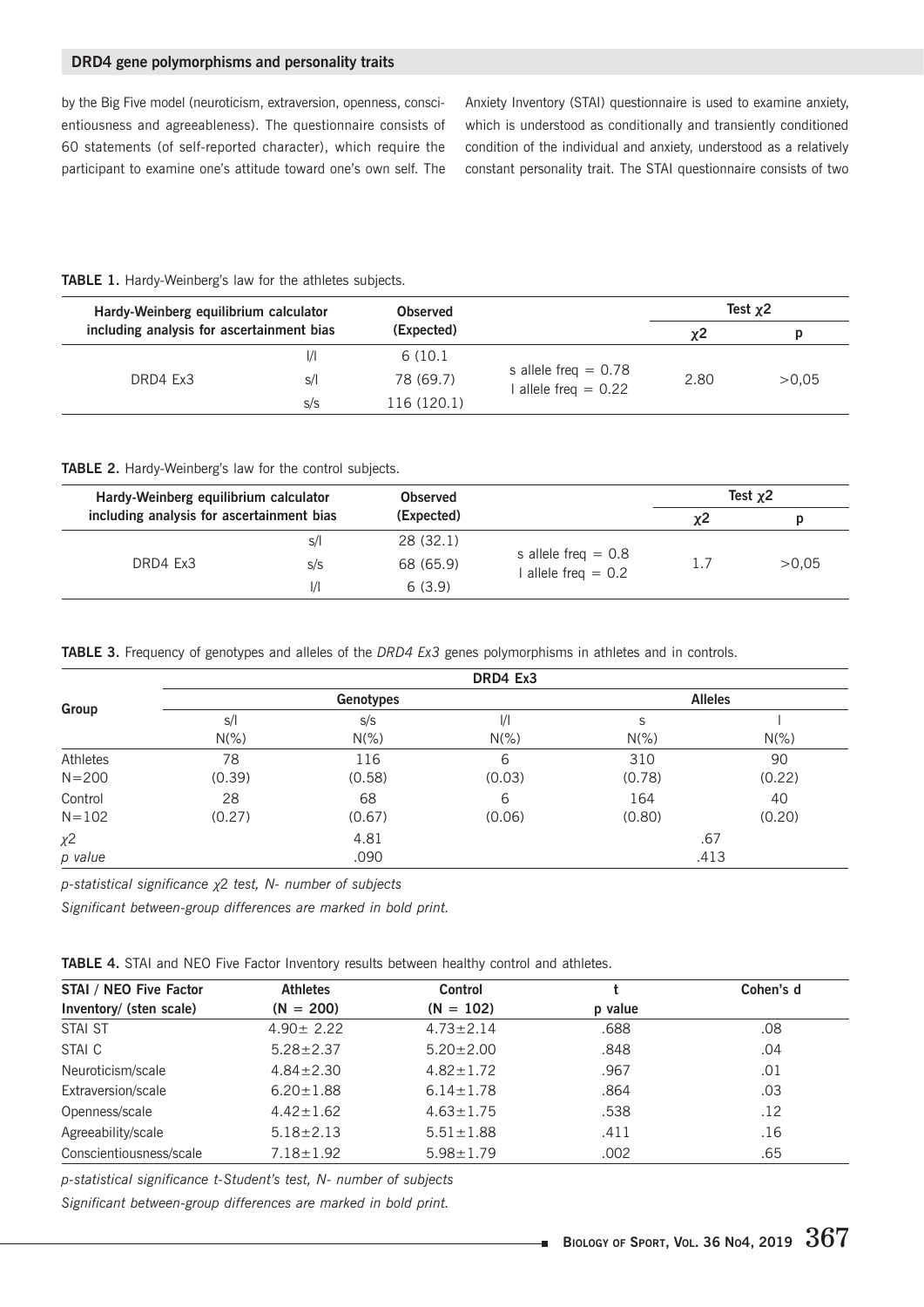# DRD4 gene polymorphisms and personality traits

by the Big Five model (neuroticism, extraversion, openness, conscientiousness and agreeableness). The questionnaire consists of 60 statements (of self-reported character), which require the participant to examine one's attitude toward one's own self. The Anxiety Inventory (STAI) questionnaire is used to examine anxiety, which is understood as conditionally and transiently conditioned condition of the individual and anxiety, understood as a relatively constant personality trait. The STAI questionnaire consists of two

## TABLE 1. Hardy-Weinberg's law for the athletes subjects.

| Hardy-Weinberg equilibrium calculator     |               | <b>Observed</b> |                                                          | Test $x2$ |       |  |
|-------------------------------------------|---------------|-----------------|----------------------------------------------------------|-----------|-------|--|
| including analysis for ascertainment bias |               | (Expected)      |                                                          | χ2        | D     |  |
|                                           | $\mathcal{U}$ | 6 (10.1)        |                                                          |           | >0.05 |  |
| DRD4 Ex3                                  | s/l           | 78 (69.7)       | s allele freq $= 0.78$<br>2.80<br>l allele freg $= 0.22$ |           |       |  |
|                                           | S/S           | 116 (120.1)     |                                                          |           |       |  |

#### TABLE 2. Hardy-Weinberg's law for the control subjects.

| Hardy-Weinberg equilibrium calculator     |               | <b>Observed</b> |                                                |       | Test $x^2$ |
|-------------------------------------------|---------------|-----------------|------------------------------------------------|-------|------------|
| including analysis for ascertainment bias |               | (Expected)      |                                                | χ2    |            |
|                                           | S/I           | 28 (32.1)       | s allele freq $= 0.8$<br>I allele freq $= 0.2$ |       |            |
| DRD4 Ex3                                  | S/S           | 68 (65.9)       |                                                | >0.05 |            |
|                                           | $\frac{1}{1}$ | 6(3.9)          |                                                |       |            |

TABLE 3. Frequency of genotypes and alleles of the DRD4 Ex3 genes polymorphisms in athletes and in controls.

| Group     |             |           | DRD4 Ex3                 |         |         |  |
|-----------|-------------|-----------|--------------------------|---------|---------|--|
|           |             | Genotypes | <b>Alleles</b>           |         |         |  |
|           | S/I         | S/S       | $\frac{1}{1}$<br>$N(\%)$ | S       |         |  |
|           | $N(\%)$     | $N(\%)$   |                          | $N(\%)$ | $N(\%)$ |  |
| Athletes  | 78          | 116       | 6                        | 310     | 90      |  |
| $N = 200$ | (0.39)      | (0.58)    | (0.03)                   | (0.78)  | (0.22)  |  |
| Control   | 28          | 68        | 6                        | 164     | 40      |  |
| $N = 102$ | (0.27)      | (0.67)    | (0.06)                   | (0.80)  | (0.20)  |  |
| $\chi^2$  | 4.81<br>.67 |           |                          |         |         |  |
| p value   |             | .090      |                          | .413    |         |  |

p-statistical significance  $\chi$ 2 test, N- number of subjects

Significant between-group differences are marked in bold print.

TABLE 4. STAI and NEO Five Factor Inventory results between healthy control and athletes.

| STAI / NEO Five Factor  | <b>Athletes</b> | Control         |         | Cohen's d |  |  |
|-------------------------|-----------------|-----------------|---------|-----------|--|--|
| Inventory/ (sten scale) | $(N = 200)$     | $(N = 102)$     | p value |           |  |  |
| STAI ST                 | $4.90 \pm 2.22$ | $4.73 \pm 2.14$ | .688    | .08       |  |  |
| STAI C                  | $5.28 \pm 2.37$ | $5.20 \pm 2.00$ | .848    | .04       |  |  |
| Neuroticism/scale       | $4.84 \pm 2.30$ | $4.82 \pm 1.72$ | .967    | .01       |  |  |
| Extraversion/scale      | $6.20 \pm 1.88$ | $6.14 \pm 1.78$ | .864    | .03       |  |  |
| Openness/scale          | $4.42 \pm 1.62$ | $4.63 \pm 1.75$ | .538    | .12       |  |  |
| Agreeability/scale      | $5.18 \pm 2.13$ | $5.51 \pm 1.88$ | .411    | .16       |  |  |
| Conscientiousness/scale | $7.18 \pm 1.92$ | $5.98 \pm 1.79$ | .002    | .65       |  |  |

p-statistical significance t-Student's test, N- number of subjects

Significant between-group differences are marked in bold print.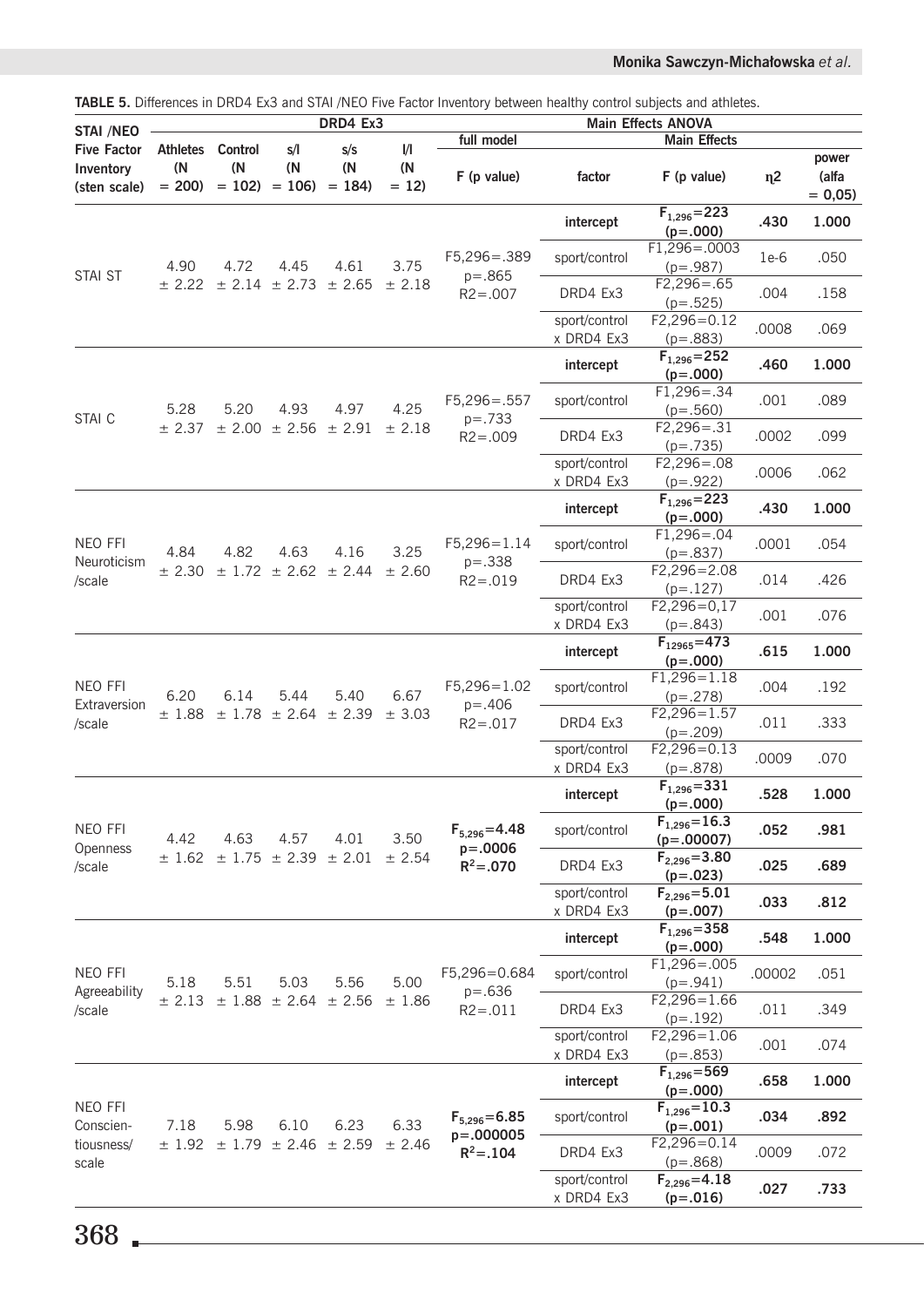| Monika Sawczyn-Michałowska et al. |
|-----------------------------------|
|-----------------------------------|

| <b>TABLE 5.</b> Differences in DRD4 Ex3 and STAI /NEO Five Factor Inventory between healthy control subjects and athletes.<br>DRD4 Ex3 |                                   |                                  |                                          |                       |                                         | Main Effects ANOVA                                  |                             |                                    |                |                            |
|----------------------------------------------------------------------------------------------------------------------------------------|-----------------------------------|----------------------------------|------------------------------------------|-----------------------|-----------------------------------------|-----------------------------------------------------|-----------------------------|------------------------------------|----------------|----------------------------|
| <b>STAI /NEO</b>                                                                                                                       |                                   |                                  |                                          |                       |                                         | full model                                          | <b>Main Effects</b>         |                                    |                |                            |
| <b>Five Factor</b><br>Inventory<br>(sten scale)                                                                                        | <b>Athletes</b><br>(N)<br>$= 200$ | <b>Control</b><br>(N)<br>$= 102$ | s/l<br>(N)<br>$= 106$                    | s/s<br>(N)<br>$= 184$ | $\mathsf{l}/\mathsf{l}$<br>(N<br>$= 12$ | F (p value)                                         | factor                      | $F$ (p value)                      | n <sub>2</sub> | power<br>(alfa<br>$= 0,05$ |
| <b>STAI ST</b>                                                                                                                         |                                   |                                  |                                          |                       |                                         | $F5,296 = .389$<br>$p = .865$<br>$R2 = .007$        | intercept                   | $F_{1,296} = 223$<br>$(p=.000)$    | .430           | 1.000                      |
|                                                                                                                                        | 4.90                              | 4.72                             | 4.45<br>$\pm$ 2.14 $\pm$ 2.73 $\pm$ 2.65 | 4.61                  | 3.75<br>± 2.18                          |                                                     | sport/control               | F1,296=.0003<br>$(p=.987)$         | $1e-6$         | .050                       |
|                                                                                                                                        | ± 2.22                            |                                  |                                          |                       |                                         |                                                     | DRD4 Ex3                    | $F2,296 = .65$<br>$(p=.525)$       | .004           | .158                       |
|                                                                                                                                        |                                   |                                  |                                          |                       |                                         |                                                     | sport/control<br>x DRD4 Ex3 | $F2,296=0.12$<br>$(p=.883)$        | .0008          | .069                       |
|                                                                                                                                        |                                   |                                  |                                          | 4.97<br>± 2.56 ± 2.91 | 4.25                                    | $F5,296 = .557$<br>$p = .733$<br>$R2 = .009$        | intercept                   | $F_{1,296} = 252$<br>$(p=.000)$    | .460           | 1.000                      |
|                                                                                                                                        | 5.28                              | 5.20                             | 4.93                                     |                       |                                         |                                                     | sport/control               | $F1,296 = .34$<br>$(p=.560)$       | .001           | .089                       |
| STAI C                                                                                                                                 | ± 2.37                            | ± 2.00                           |                                          |                       | ± 2.18                                  |                                                     | DRD4 Ex3                    | $F2,296 = .31$<br>$(p=.735)$       | .0002          | .099                       |
|                                                                                                                                        |                                   |                                  |                                          |                       |                                         |                                                     | sport/control<br>x DRD4 Ex3 | $F2,296 = .08$<br>$(p=.922)$       | .0006          | .062                       |
|                                                                                                                                        |                                   |                                  |                                          |                       |                                         |                                                     | intercept                   | $F_{1,296} = 223$<br>$(p=.000)$    | .430           | 1.000                      |
| NEO FFI                                                                                                                                | 4.84                              | 4.82                             | 4.63<br>± 2.62                           | 4.16<br>± 2.44        | 3.25<br>± 2.60                          | $F5,296=1.14$<br>$p = .338$<br>$R2 = .019$          | sport/control               | $F1,296 = .04$<br>$(p=.837)$       | .0001          | .054                       |
| Neuroticism<br>/scale                                                                                                                  | ± 2.30                            | ± 1.72                           |                                          |                       |                                         |                                                     | DRD4 Ex3                    | $F2,296 = 2.08$<br>$(p=.127)$      | .014           | .426                       |
|                                                                                                                                        |                                   |                                  |                                          |                       |                                         |                                                     | sport/control<br>x DRD4 Ex3 | $F2,296=0,17$<br>$(p=.843)$        | .001           | .076                       |
|                                                                                                                                        |                                   |                                  | 5.44<br>$\pm$ 1.78 $\pm$ 2.64 $\pm$ 2.39 | 5.40                  | 6.67<br>± 3.03                          | $F5,296=1.02$<br>$p = .406$<br>$R2 = .017$          | intercept                   | $F_{12965} = 473$<br>$(p=.000)$    | .615           | 1.000                      |
| NEO FFI                                                                                                                                | 6.20<br>±1.88                     | 6.14                             |                                          |                       |                                         |                                                     | sport/control               | $F1,296 = 1.18$<br>$(p=.278)$      | .004           | .192                       |
| Extraversion<br>/scale                                                                                                                 |                                   |                                  |                                          |                       |                                         |                                                     | DRD4 Ex3                    | $F2,296 = 1.57$<br>$(p=.209)$      | .011           | .333                       |
|                                                                                                                                        |                                   |                                  |                                          |                       |                                         |                                                     | sport/control<br>x DRD4 Ex3 | $F2,296=0.13$<br>$(p=.878)$        | .0009          | .070                       |
| NEO FFI<br>Openness<br>/scale                                                                                                          |                                   |                                  | 4.57<br>$\pm$ 1.75 $\pm$ 2.39            | 4.01<br>± 2.01        | 3.50<br>± 2.54                          | $F_{5,296} = 4.48$<br>$p = .0006$<br>$R^2 = .070$   | intercept                   | $F_{1,296} = 331$<br>$(p=.000)$    | .528           | 1.000                      |
|                                                                                                                                        | 4.42<br>± 1.62                    | 4.63                             |                                          |                       |                                         |                                                     | sport/control               | $F_{1,296} = 16.3$<br>$(p=.00007)$ | .052           | .981                       |
|                                                                                                                                        |                                   |                                  |                                          |                       |                                         |                                                     | DRD4 Ex3                    | $F_{2,296} = 3.80$<br>$(p=.023)$   | .025           | .689                       |
|                                                                                                                                        |                                   |                                  |                                          |                       |                                         |                                                     | sport/control<br>x DRD4 Ex3 | $F_{2,296} = 5.01$<br>$(p=.007)$   | .033           | .812                       |
|                                                                                                                                        |                                   |                                  |                                          |                       |                                         |                                                     | intercept                   | $F_{1,296} = 358$<br>$(p=.000)$    | .548           | 1.000                      |
| NEO FFI<br>Agreeability<br>/scale                                                                                                      | 5.18<br>± 2.13                    | 5.51<br>±1.88                    | 5.03                                     | 5.56<br>± 2.56        | 5.00<br>±1.86                           | F5,296=0.684<br>$p = .636$<br>$R2 = .011$           | sport/control               | $F1,296 = .005$<br>$(p=.941)$      | .00002         | .051                       |
|                                                                                                                                        |                                   |                                  | ± 2.64                                   |                       |                                         |                                                     | DRD4 Ex3                    | $F2,296 = 1.66$<br>$(p=.192)$      | .011           | .349                       |
|                                                                                                                                        |                                   |                                  |                                          |                       |                                         |                                                     | sport/control<br>x DRD4 Ex3 | $F2,296 = 1.06$<br>$(p=.853)$      | .001           | .074                       |
|                                                                                                                                        |                                   | 5.98<br>± 1.79                   | 6.10<br>± 2.46                           | 6.23<br>± 2.59        | 6.33<br>± 2.46                          | $F_{5,296} = 6.85$<br>$p = .000005$<br>$R^2 = .104$ | intercept                   | $F_{1,296} = 569$<br>$(p=.000)$    | .658           | 1.000                      |
| NEO FFI<br>Conscien-                                                                                                                   | 7.18<br>± 1.92                    |                                  |                                          |                       |                                         |                                                     | sport/control               | $F_{1,296} = 10.3$<br>$(p=.001)$   | .034           | .892                       |
| tiousness/<br>scale                                                                                                                    |                                   |                                  |                                          |                       |                                         |                                                     | DRD4 Ex3                    | $F2,296=0.14$<br>$(p=.868)$        | .0009          | .072                       |
|                                                                                                                                        |                                   |                                  |                                          |                       |                                         |                                                     | sport/control<br>x DRD4 Ex3 | $F_{2,296} = 4.18$<br>$(p=.016)$   | .027           | .733                       |

**TABLE 5.** Differences in DRD4 Ex3 and STAI /NEO Five Factor Inventory between healthy control subjects and athletes.

368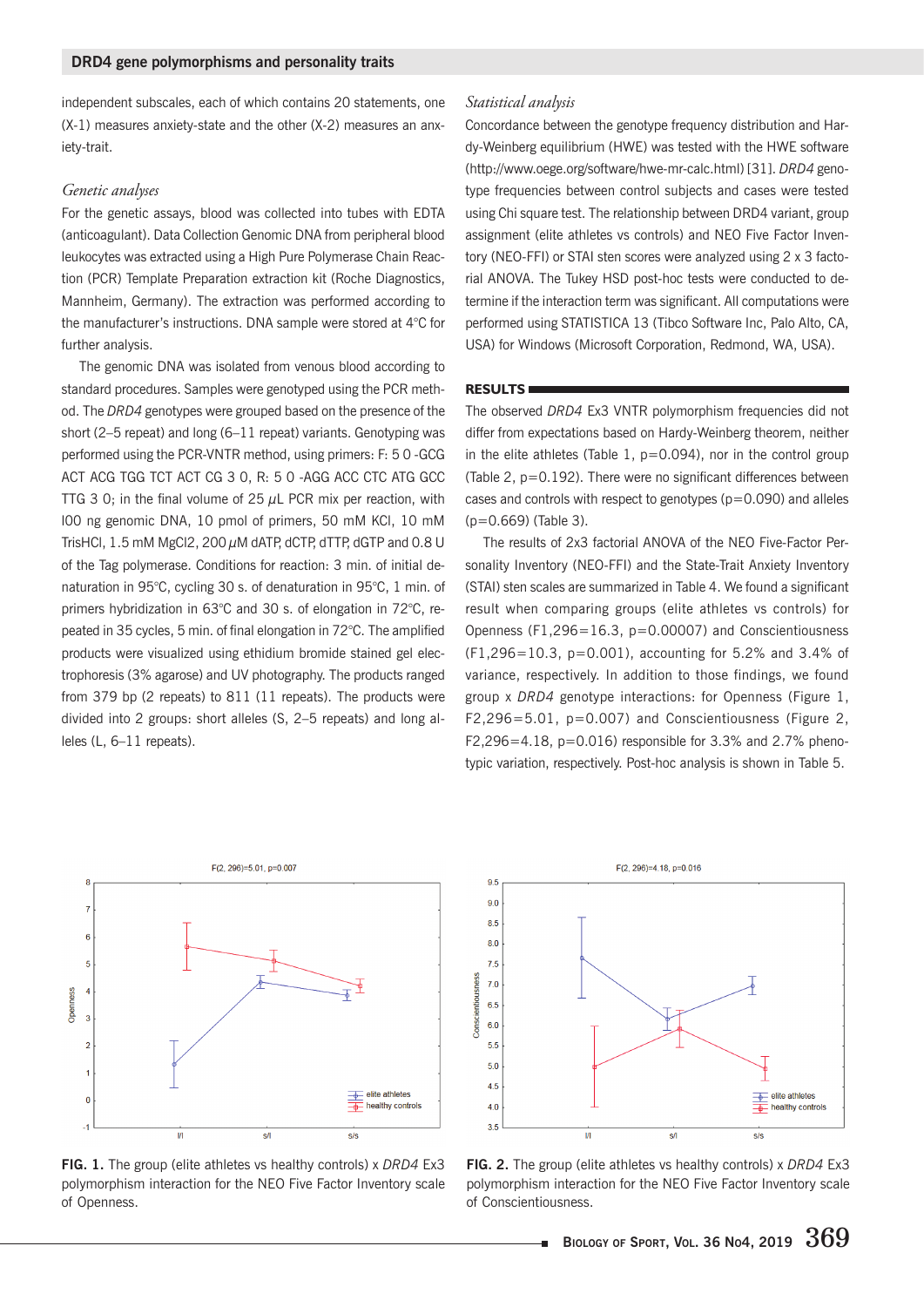independent subscales, each of which contains 20 statements, one  $(X-1)$  measures anxiety-state and the other  $(X-2)$  measures an anxietv-trait.

#### *Genetic analyses*

For the genetic assays, blood was collected into tubes with EDTA (anticoagulant). Data Collection Genomic DNA from peripheral blood leukocytes was extracted using a High Pure Polymerase Chain Reaction (PCR) Template Preparation extraction kit (Roche Diagnostics, Mannheim, Germany). The extraction was performed according to the manufacturer's instructions. DNA sample were stored at 4°C for further analysis.

The genomic DNA was isolated from venous blood according to standard procedures. Samples were genotyped using the PCR method. The DRD4 genotypes were grouped based on the presence of the short (2-5 repeat) and long (6-11 repeat) variants. Genotyping was performed using the PCR-VNTR method, using primers: F: 50-GCG ACT ACG TGG TCT ACT CG 3 0, R: 5 0 -AGG ACC CTC ATG GCC TTG 3 0; in the final volume of 25  $\mu$ L PCR mix per reaction, with IOO ng genomic DNA, 10 pmol of primers, 50 mM KCI, 10 mM TrisHCl,  $1.5$  mM MgCl2,  $200 \mu$ M dATP, dCTP, dTTP, dGTP and  $0.8$  U of the Tag polymerase. Conditions for reaction: 3 min. of initial denaturation in 95°C, cycling 30 s. of denaturation in 95°C, 1 min. of primers hybridization in 63°C and 30 s. of elongation in 72°C, repeated in 35 cycles, 5 min. of final elongation in  $72^{\circ}$ C. The amplified products were visualized using ethidium bromide stained gel electrophoresis (3% agarose) and UV photography. The products ranged from 379 bp (2 repeats) to  $811$  (11 repeats). The products were divided into 2 groups: short alleles (S, 2-5 repeats) and long al $leles$  (L,  $6-11$  repeats).

#### *Statistical analysis*

Concordance between the genotype frequency distribution and Hardy-Weinberg equilibrium (HWE) was tested with the HWE software (http://www.oege.org/software/hwe-mr-calc.html) [31]. DRD4 genotype frequencies between control subjects and cases were tested using Chi square test. The relationship between DRD4 variant, group assignment (elite athletes vs controls) and NEO Five Factor Inventory (NEO-FFI) or STAI sten scores were analyzed using 2 x 3 factorial ANOVA. The Tukey HSD post-hoc tests were conducted to determine if the interaction term was significant. All computations were performed using STATISTICA 13 (Tibco Software Inc, Palo Alto, CA, USA) for Windows (Microsoft Corporation, Redmond, WA, USA).

## **RESULTS**

The observed DRD4 Ex3 VNTR polymorphism frequencies did not differ from expectations based on Hardy-Weinberg theorem, neither in the elite athletes (Table 1,  $p=0.094$ ), nor in the control group (Table 2,  $p=0.192$ ). There were no significant differences between cases and controls with respect to genotypes ( $p=0.090$ ) and alleles  $(p=0.669)$  (Table 3).

The results of 2x3 factorial ANOVA of the NEO Five-Factor Personality Inventory (NEO-FFI) and the State-Trait Anxiety Inventory (STAI) sten scales are summarized in Table 4. We found a significant result when comparing groups (elite athletes vs controls) for Openness (F1,296=16.3,  $p=0.00007$ ) and Conscientiousness  $(F1, 296 = 10.3, p = 0.001)$ , accounting for 5.2% and 3.4% of variance, respectively. In addition to those findings, we found group x DRD4 genotype interactions: for Openness (Figure 1,  $F2,296 = 5.01$ ,  $p = 0.007$ ) and Conscientiousness (Figure 2,  $F2,296 = 4.18$ ,  $p = 0.016$ ) responsible for 3.3% and 2.7% phenotypic variation, respectively. Post-hoc analysis is shown in Table 5.



FIG. 1. The group (elite athletes vs healthy controls) x DRD4 Ex3 polymorphism interaction for the NEO Five Factor Inventory scale of Openness.



FIG. 2. The group (elite athletes vs healthy controls) x DRD4 Ex3 polymorphism interaction for the NEO Five Factor Inventory scale of Conscientiousness.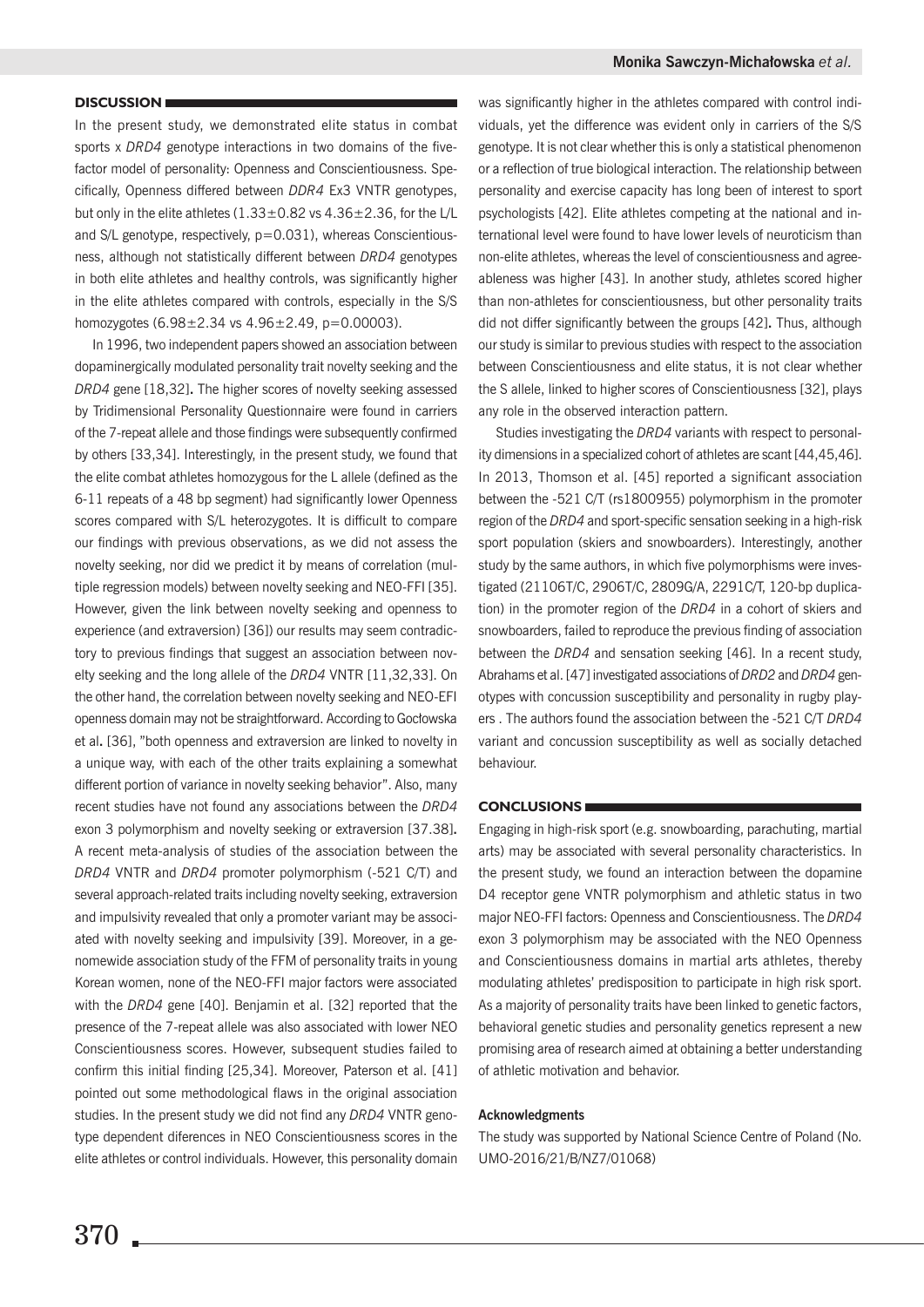#### **DISCUSSION**

In the present study, we demonstrated elite status in combat sports x DRD4 genotype interactions in two domains of the fivefactor model of personality: Openness and Conscientiousness. Specifically, Openness differed between DDR4 Ex3 VNTR genotypes, but only in the elite athletes  $(1.33 \pm 0.82 \text{ vs } 4.36 \pm 2.36 \text{, for the L/L})$ and  $S/L$  genotype, respectively,  $p=0.031$ ), whereas Conscientiousness, although not statistically different between DRD4 genotypes in both elite athletes and healthy controls, was significantly higher in the elite athletes compared with controls, especially in the S/S homozygotes  $(6.98 \pm 2.34 \text{ vs } 4.96 \pm 2.49, \text{ p} = 0.00003).$ 

In 1996, two independent papers showed an association between dopaminergically modulated personality trait novelty seeking and the DRD4 gene [18,32]. The higher scores of novelty seeking assessed by Tridimensional Personality Questionnaire were found in carriers of the 7-repeat allele and those findings were subsequently confirmed by others [33,34]. Interestingly, in the present study, we found that the elite combat athletes homozygous for the L allele (defined as the 6-11 repeats of a 48 bp segment) had significantly lower Openness scores compared with S/L heterozygotes. It is difficult to compare our findings with previous observations, as we did not assess the novelty seeking, nor did we predict it by means of correlation (multiple regression models) between novelty seeking and NEO-FFI [35]. However, given the link between novelty seeking and openness to experience (and extraversion) [36]) our results may seem contradictory to previous findings that suggest an association between novelty seeking and the long allele of the DRD4 VNTR [11,32,33]. On the other hand, the correlation between novelty seeking and NEO-EFI openness domain may not be straightforward. According to Gocłowska et al. [36], "both openness and extraversion are linked to novelty in a unique way, with each of the other traits explaining a somewhat different portion of variance in novelty seeking behavior". Also, many recent studies have not found any associations between the DRD4 exon 3 polymorphism and novelty seeking or extraversion [37.38]. A recent meta-analysis of studies of the association between the DRD4 VNTR and DRD4 promoter polymorphism (-521 C/T) and several approach-related traits including novelty seeking, extraversion and impulsivity revealed that only a promoter variant may be associated with novelty seeking and impulsivity [39]. Moreover, in a genomewide association study of the FFM of personality traits in young Korean women, none of the NEO-FFI major factors were associated with the DRD4 gene [40]. Benjamin et al. [32] reported that the presence of the 7-repeat allele was also associated with lower NEO Conscientiousness scores. However, subsequent studies failed to confirm this initial finding [25,34]. Moreover, Paterson et al. [41] pointed out some methodological flaws in the original association studies. In the present study we did not find any DRD4 VNTR genotype dependent diferences in NEO Conscientiousness scores in the elite athletes or control individuals. However, this personality domain was significantly higher in the athletes compared with control individuals, yet the difference was evident only in carriers of the S/S genotype. It is not clear whether this is only a statistical phenomenon or a reflection of true biological interaction. The relationship between personality and exercise capacity has long been of interest to sport psychologists [42]. Elite athletes competing at the national and international level were found to have lower levels of neuroticism than non-elite athletes, whereas the level of conscientiousness and agreeableness was higher [43]. In another study, athletes scored higher than non-athletes for conscientiousness, but other personality traits did not differ significantly between the groups [42]. Thus, although our study is similar to previous studies with respect to the association between Conscientiousness and elite status, it is not clear whether the S allele, linked to higher scores of Conscientiousness [32], plays any role in the observed interaction pattern.

Studies investigating the DRD4 variants with respect to personality dimensions in a specialized cohort of athletes are scant [44,45,46]. In 2013, Thomson et al. [45] reported a significant association between the -521 C/T (rs1800955) polymorphism in the promoter region of the DRD4 and sport-specific sensation seeking in a high-risk sport population (skiers and snowboarders). Interestingly, another study by the same authors, in which five polymorphisms were investigated (21106T/C, 2906T/C, 2809G/A, 2291C/T, 120-bp duplication) in the promoter region of the DRD4 in a cohort of skiers and snowboarders, failed to reproduce the previous finding of association between the DRD4 and sensation seeking [46]. In a recent study, Abrahams et al. [47] investigated associations of DRD2 and DRD4 genotypes with concussion susceptibility and personality in rugby players. The authors found the association between the -521 C/T DRD4 variant and concussion susceptibility as well as socially detached behaviour.

#### **CONCLUSIONS**

Engaging in high-risk sport (e.g. snowboarding, parachuting, martial arts) may be associated with several personality characteristics. In the present study, we found an interaction between the dopamine D4 receptor gene VNTR polymorphism and athletic status in two major NEO-FFI factors: Openness and Conscientiousness. The DRD4 exon 3 polymorphism may be associated with the NEO Openness and Conscientiousness domains in martial arts athletes, thereby modulating athletes' predisposition to participate in high risk sport. As a majority of personality traits have been linked to genetic factors, behavioral genetic studies and personality genetics represent a new promising area of research aimed at obtaining a better understanding of athletic motivation and behavior.

#### **Acknowledgments**

The study was supported by National Science Centre of Poland (No. UMO-2016/21/B/NZ7/01068)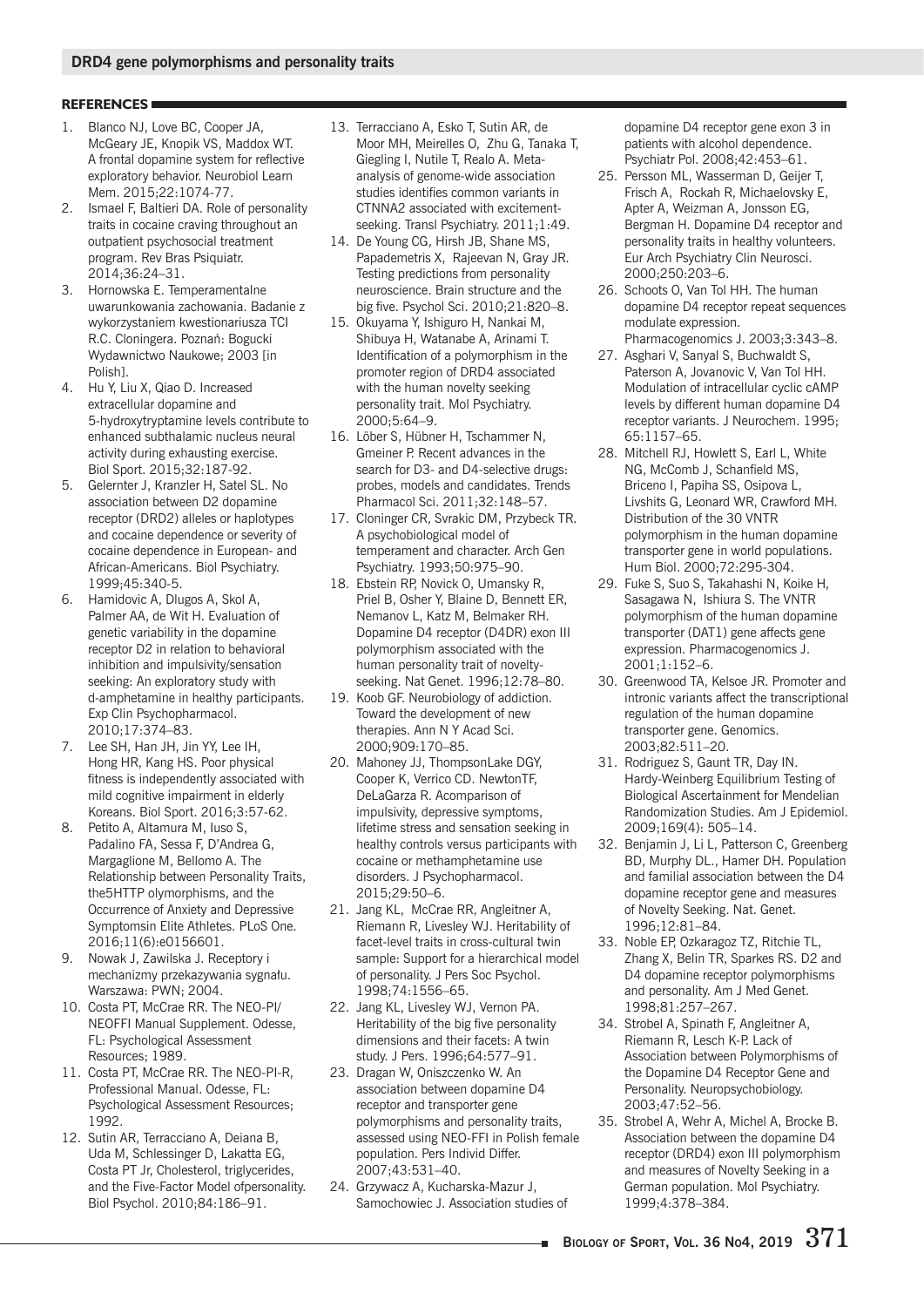## **REFERENCES**

- 1. Blanco NJ, Love BC, Cooper JA, McGeary JE, Knopik VS, Maddox WT. A frontal dopamine system for reflective exploratory behavior. Neurobiol Learn Mem. 2015:22:1074-77.
- 2. Ismael F, Baltieri DA. Role of personality traits in cocaine craving throughout an outpatient psychosocial treatment program. Rev Bras Psiguiatr. 2014;36:24-31.
- 3. Hornowska E. Temperamentalne uwarunkowania zachowania. Badanie z wykorzystaniem kwestionariusza TCI R.C. Cloningera. Poznań: Bogucki Wydawnictwo Naukowe; 2003 [in Polishl
- 4. Hu Y. Liu X. Qiao D. Increased extracellular dopamine and 5-hydroxytryptamine levels contribute to enhanced subthalamic nucleus neural activity during exhausting exercise. Biol Sport, 2015:32:187-92.
- 5. Gelernter J. Kranzler H. Satel SL, No association between D2 dopamine receptor (DRD2) alleles or haplotypes and cocaine dependence or severity of cocaine dependence in European- and African-Americans. Biol Psychiatry. 1999;45:340-5.
- 6. Hamidovic A, Dlugos A, Skol A, Palmer AA, de Wit H. Evaluation of genetic variability in the dopamine receptor D2 in relation to behavioral inhibition and impulsivity/sensation seeking: An exploratory study with d-amphetamine in healthy participants. Exp Clin Psychopharmacol. 2010;17:374-83.
- 7. Lee SH, Han JH, Jin YY, Lee IH, Hong HR, Kang HS. Poor physical fitness is independently associated with mild cognitive impairment in elderly Koreans. Biol Sport. 2016;3:57-62.
- Petito A, Altamura M, Iuso S, 8. Padalino FA, Sessa F, D'Andrea G, Margaglione M, Bellomo A. The Relationship between Personality Traits, the 5HTTP olymorphisms, and the Occurrence of Anxiety and Depressive Symptomsin Elite Athletes. PLoS One. 2016;11(6):e0156601.
- 9. Nowak J, Zawilska J. Receptory i mechanizmy przekazywania sygnału. Warszawa: PWN; 2004.
- 10. Costa PT, McCrae RR. The NEO-PI/ NEOFFI Manual Supplement. Odesse, FL: Psychological Assessment Resources; 1989.
- 11. Costa PT, McCrae RR. The NEO-PI-R, Professional Manual. Odesse, FL: Psychological Assessment Resources; 1992.
- 12. Sutin AR, Terracciano A, Deiana B, Uda M, Schlessinger D, Lakatta EG, Costa PT Jr, Cholesterol, triglycerides, and the Five-Factor Model ofpersonality. Biol Psychol. 2010;84:186-91.
- 13. Terracciano A. Esko T. Sutin AR, de Moor MH, Meirelles O, Zhu G, Tanaka T, Giegling I, Nutile T, Realo A. Metaanalysis of genome-wide association studies identifies common variants in CTNNA2 associated with excitementseeking. Transl Psychiatry. 2011;1:49.
- 14. De Young CG, Hirsh JB, Shane MS, Papademetris X. Rajeevan N. Gray JR. Testing predictions from personality neuroscience. Brain structure and the big five. Psychol Sci. 2010:21:820-8.
- 15. Okuvama Y. Ishiguro H. Nankai M. Shibuya H, Watanabe A, Arinami T. Identification of a polymorphism in the promoter region of DRD4 associated with the human novelty seeking personality trait. Mol Psychiatry. 2000:5:64-9.
- 16. Löber S. Hübner H. Tschammer N. Gmeiner P. Recent advances in the search for D3- and D4-selective drugs: probes, models and candidates. Trends Pharmacol Sci. 2011:32:148-57.
- 17. Cloninger CR, Svrakic DM, Przybeck TR. A psychobiological model of temperament and character. Arch Gen Psychiatry. 1993;50:975-90.
- 18. Ebstein RP, Novick O, Umansky R, Priel B, Osher Y, Blaine D, Bennett ER, Nemanov L, Katz M, Belmaker RH. Dopamine D4 receptor (D4DR) exon III polymorphism associated with the human personality trait of noveltyseeking. Nat Genet. 1996;12:78-80.
- 19. Koob GF. Neurobiology of addiction. Toward the development of new therapies. Ann N Y Acad Sci. 2000;909:170-85.
- 20. Mahoney JJ, ThompsonLake DGY, Cooper K, Verrico CD. NewtonTF, DeLaGarza R. Acomparison of impulsivity, depressive symptoms, lifetime stress and sensation seeking in healthy controls versus participants with cocaine or methamphetamine use disorders. J Psychopharmacol. 2015:29:50-6.
- 21. Jang KL, McCrae RR, Angleitner A, Riemann R, Livesley WJ. Heritability of facet-level traits in cross-cultural twin sample: Support for a hierarchical model of personality. J Pers Soc Psychol. 1998;74:1556-65.
- 22. Jang KL, Livesley WJ, Vernon PA. Heritability of the big five personality dimensions and their facets: A twin study. J Pers. 1996;64:577-91.
- 23. Dragan W, Oniszczenko W. An association between dopamine D4 receptor and transporter gene polymorphisms and personality traits, assessed using NEO-FFI in Polish female population. Pers Individ Differ. 2007;43:531-40.
- 24. Grzywacz A, Kucharska-Mazur J, Samochowiec J. Association studies of

dopamine D4 receptor gene exon 3 in patients with alcohol dependence. Psychiatr Pol. 2008;42:453-61.

- 25. Persson ML, Wasserman D, Geijer T, Frisch A. Rockah R. Michaelovsky E. Apter A, Weizman A, Jonsson EG, Bergman H. Dopamine D4 receptor and personality traits in healthy volunteers. Eur Arch Psychiatry Clin Neurosci. 2000:250:203-6.
- 26. Schoots O, Van Tol HH. The human dopamine D4 receptor repeat sequences modulate expression. Pharmacogenomics J. 2003;3:343-8.
- 27. Asghari V, Sanyal S, Buchwaldt S, Paterson A. Jovanovic V. Van Tol HH. Modulation of intracellular cyclic cAMP levels by different human dopamine D4 receptor variants. J Neurochem. 1995;  $65:1157 - 65.$
- 28. Mitchell RJ, Howlett S, Earl L, White NG. McComb J. Schanfield MS. Briceno I. Papiha SS. Osipova L. Livshits G. Leonard WR. Crawford MH. Distribution of the 30 VNTR polymorphism in the human dopamine transporter gene in world populations. Hum Biol. 2000;72:295-304.
- 29. Fuke S, Suo S, Takahashi N, Koike H, Sasagawa N, Ishiura S. The VNTR polymorphism of the human dopamine transporter (DAT1) gene affects gene expression. Pharmacogenomics J. 2001;1:152-6.
- 30. Greenwood TA, Kelsoe JR. Promoter and intronic variants affect the transcriptional regulation of the human dopamine transporter gene. Genomics. 2003;82:511-20.
- 31. Rodriguez S, Gaunt TR, Day IN. Hardy-Weinberg Equilibrium Testing of Biological Ascertainment for Mendelian Randomization Studies. Am J Epidemiol. 2009;169(4): 505-14.
- 32. Benjamin J, Li L, Patterson C, Greenberg BD, Murphy DL., Hamer DH. Population and familial association between the D4 dopamine receptor gene and measures of Novelty Seeking. Nat. Genet. 1996;12:81-84.
- 33. Noble EP, Ozkaragoz TZ, Ritchie TL, Zhang X, Belin TR, Sparkes RS. D2 and D4 dopamine receptor polymorphisms and personality. Am J Med Genet. 1998;81:257-267.
- 34. Strobel A, Spinath F, Angleitner A, Riemann R, Lesch K-P. Lack of Association between Polymorphisms of the Dopamine D4 Receptor Gene and Personality. Neuropsychobiology. 2003;47:52-56.
- 35. Strobel A, Wehr A, Michel A, Brocke B. Association between the dopamine D4 receptor (DRD4) exon III polymorphism and measures of Novelty Seeking in a German population. Mol Psychiatry. 1999;4:378-384.